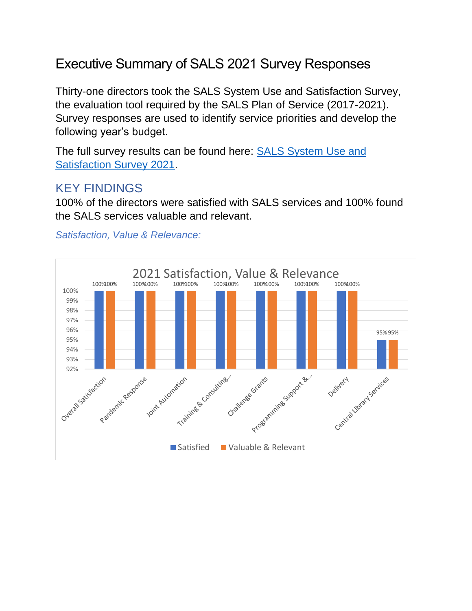# Executive Summary of SALS 2021 Survey Responses

Thirty-one directors took the SALS System Use and Satisfaction Survey, the evaluation tool required by the SALS Plan of Service (2017-2021). Survey responses are used to identify service priorities and develop the following year's budget.

The full survey results can be found here: [SALS System Use and](https://www.surveymonkey.com/results/SM-CY3KG9JJ9/)  [Satisfaction Survey 2021.](https://www.surveymonkey.com/results/SM-CY3KG9JJ9/)

## KEY FINDINGS

100% of the directors were satisfied with SALS services and 100% found the SALS services valuable and relevant.

#### *Satisfaction, Value & Relevance:*